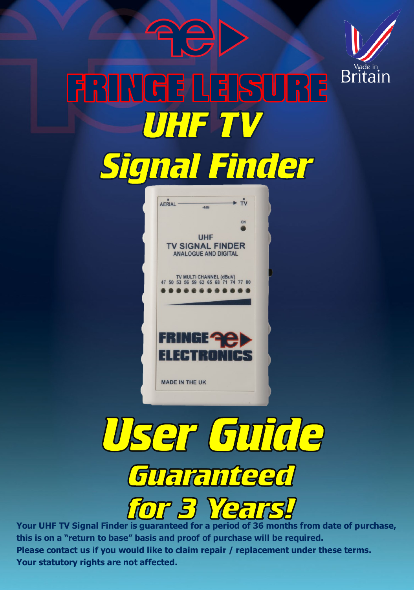







**Your UHF TV Signal Finder is guaranteed for a period of 36 months from date of purchase, this is on a "return to base" basis and proof of purchase will be required. Please contact us if you would like to claim repair / replacement under these terms. Your statutory rights are not affected.**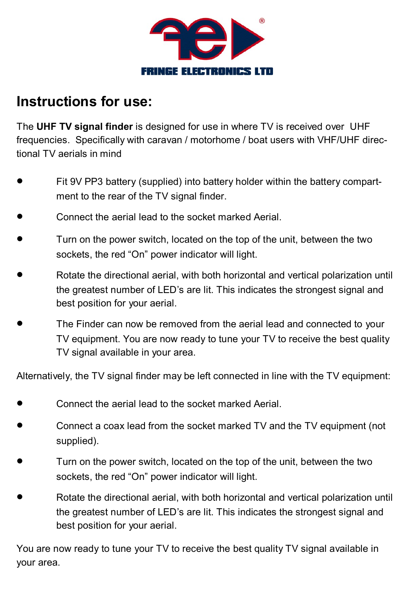

## **Instructions for use:**

The **UHF TV signal finder** is designed for use in where TV is received over UHF frequencies. Specifically with caravan / motorhome / boat users with VHF/UHF directional TV aerials in mind

- Fit 9V PP3 battery (supplied) into battery holder within the battery compartment to the rear of the TV signal finder
- Connect the aerial lead to the socket marked Aerial.
- Turn on the power switch, located on the top of the unit, between the two sockets, the red "On" power indicator will light.
- Rotate the directional aerial, with both horizontal and vertical polarization until the greatest number of LED's are lit. This indicates the strongest signal and best position for your aerial.
- The Finder can now be removed from the aerial lead and connected to your TV equipment. You are now ready to tune your TV to receive the best quality TV signal available in your area.

Alternatively, the TV signal finder may be left connected in line with the TV equipment:

- Connect the aerial lead to the socket marked Aerial.
- Connect a coax lead from the socket marked TV and the TV equipment (not supplied).
- Turn on the power switch, located on the top of the unit, between the two sockets, the red "On" power indicator will light.
- Rotate the directional aerial, with both horizontal and vertical polarization until the greatest number of LED's are lit. This indicates the strongest signal and best position for your aerial.

You are now ready to tune your TV to receive the best quality TV signal available in your area.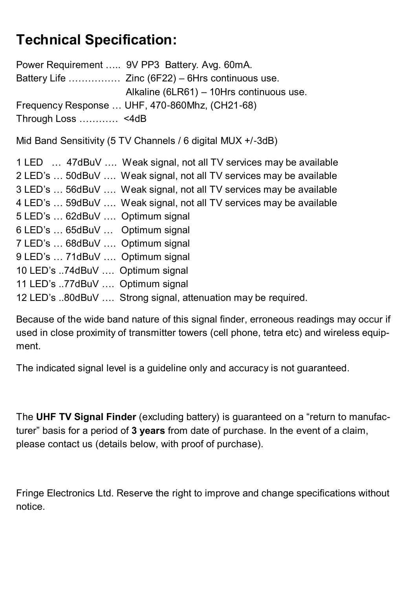## **Technical Specification:**

Power Requirement ….. 9V PP3 Battery. Avg. 60mA. Battery Life ……………. Zinc (6F22) – 6Hrs continuous use. Alkaline (6LR61) – 10Hrs continuous use. Frequency Response … UHF, 470-860Mhz, (CH21-68) Through Loss ………… <4dB

Mid Band Sensitivity (5 TV Channels / 6 digital MUX +/-3dB)

| 1 LED  47dBuV  Weak signal, not all TV services may be available   |
|--------------------------------------------------------------------|
| 2 LED's  50dBuV  Weak signal, not all TV services may be available |
| 3 LED's  56dBuV  Weak signal, not all TV services may be available |
| 4 LED's  59dBuV  Weak signal, not all TV services may be available |
| 5 LED's  62dBuV  Optimum signal                                    |
| 6 LED's  65dBuV  Optimum signal                                    |
| 7 LED's  68dBuV  Optimum signal                                    |
| 9 LED's  71dBuV  Optimum signal                                    |
| 10 LED's 74dBuV  Optimum signal                                    |
| 11 LED's 77dBuV  Optimum signal                                    |
| 12 LED's 80dBuV  Strong signal, attenuation may be required.       |
|                                                                    |

Because of the wide band nature of this signal finder, erroneous readings may occur if used in close proximity of transmitter towers (cell phone, tetra etc) and wireless equipment.

The indicated signal level is a guideline only and accuracy is not guaranteed.

The **UHF TV Signal Finder** (excluding battery) is guaranteed on a "return to manufacturer" basis for a period of **3 years** from date of purchase. In the event of a claim, please contact us (details below, with proof of purchase).

Fringe Electronics Ltd. Reserve the right to improve and change specifications without notice.